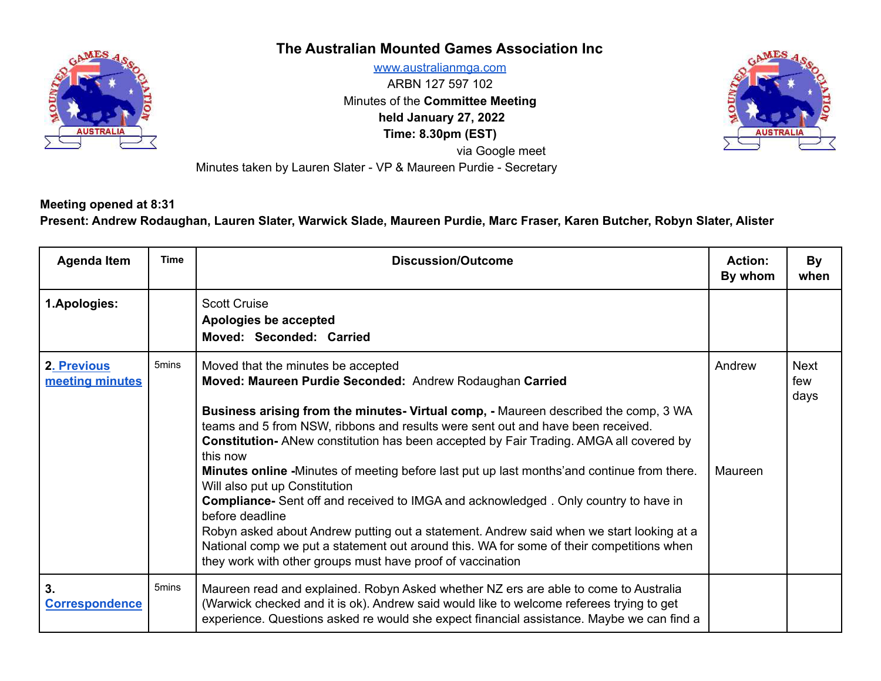

## **The Australian Mounted Games Association Inc**

[www.australianmga.com](http://www.australianmga.com) ARBN 127 597 102 Minutes of the **Committee Meeting held January 27, 2022 Time: 8.30pm (EST)** via Google meet Minutes taken by Lauren Slater - VP & Maureen Purdie - Secretary



**Meeting opened at 8:31**

Present: Andrew Rodaughan, Lauren Slater, Warwick Slade, Maureen Purdie, Marc Fraser, Karen Butcher, Robyn Slater, Alister

| <b>Agenda Item</b>             | <b>Time</b>       | <b>Discussion/Outcome</b>                                                                                                                                                                                                                                                                                                                                                                                                                                                                                                                                                                                                                                                                                                                                                                                                                                                                          | <b>Action:</b><br>By whom | By<br>when                 |
|--------------------------------|-------------------|----------------------------------------------------------------------------------------------------------------------------------------------------------------------------------------------------------------------------------------------------------------------------------------------------------------------------------------------------------------------------------------------------------------------------------------------------------------------------------------------------------------------------------------------------------------------------------------------------------------------------------------------------------------------------------------------------------------------------------------------------------------------------------------------------------------------------------------------------------------------------------------------------|---------------------------|----------------------------|
| 1.Apologies:                   |                   | <b>Scott Cruise</b><br>Apologies be accepted<br>Moved: Seconded: Carried                                                                                                                                                                                                                                                                                                                                                                                                                                                                                                                                                                                                                                                                                                                                                                                                                           |                           |                            |
| 2. Previous<br>meeting minutes | 5mins             | Moved that the minutes be accepted<br>Moved: Maureen Purdie Seconded: Andrew Rodaughan Carried<br>Business arising from the minutes- Virtual comp, - Maureen described the comp, 3 WA<br>teams and 5 from NSW, ribbons and results were sent out and have been received.<br><b>Constitution-</b> ANew constitution has been accepted by Fair Trading. AMGA all covered by<br>this now<br><b>Minutes online</b> -Minutes of meeting before last put up last months'and continue from there.<br>Will also put up Constitution<br><b>Compliance-</b> Sent off and received to IMGA and acknowledged. Only country to have in<br>before deadline<br>Robyn asked about Andrew putting out a statement. Andrew said when we start looking at a<br>National comp we put a statement out around this. WA for some of their competitions when<br>they work with other groups must have proof of vaccination | Andrew<br>Maureen         | <b>Next</b><br>few<br>days |
| 3.<br><b>Correspondence</b>    | 5 <sub>mins</sub> | Maureen read and explained. Robyn Asked whether NZ ers are able to come to Australia<br>(Warwick checked and it is ok). Andrew said would like to welcome referees trying to get<br>experience. Questions asked re would she expect financial assistance. Maybe we can find a                                                                                                                                                                                                                                                                                                                                                                                                                                                                                                                                                                                                                      |                           |                            |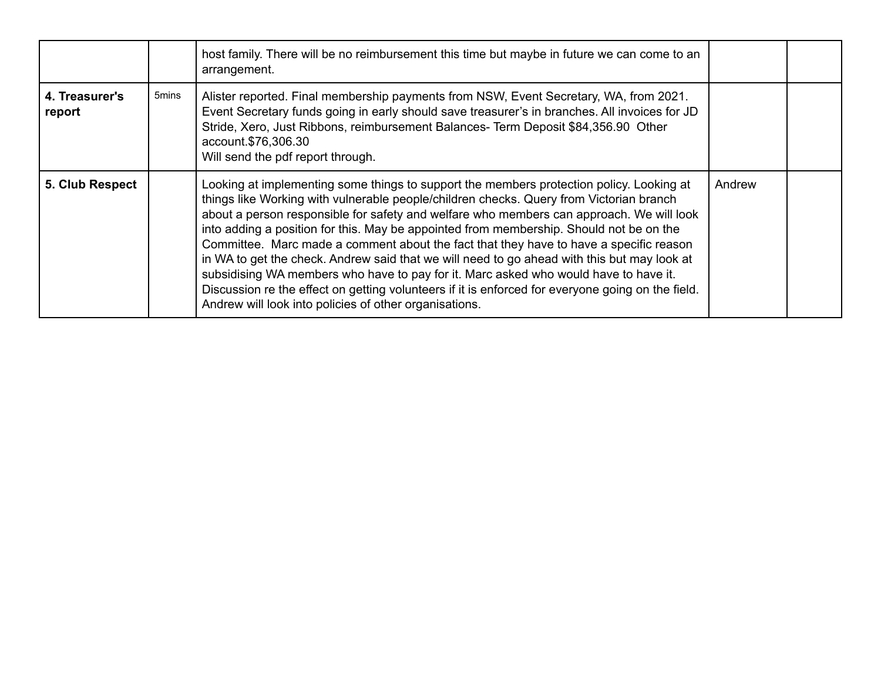|                          |       | host family. There will be no reimbursement this time but maybe in future we can come to an<br>arrangement.                                                                                                                                                                                                                                                                                                                                                                                                                                                                                                                                                                                                                                                                                                                |        |  |
|--------------------------|-------|----------------------------------------------------------------------------------------------------------------------------------------------------------------------------------------------------------------------------------------------------------------------------------------------------------------------------------------------------------------------------------------------------------------------------------------------------------------------------------------------------------------------------------------------------------------------------------------------------------------------------------------------------------------------------------------------------------------------------------------------------------------------------------------------------------------------------|--------|--|
| 4. Treasurer's<br>report | 5mins | Alister reported. Final membership payments from NSW, Event Secretary, WA, from 2021.<br>Event Secretary funds going in early should save treasurer's in branches. All invoices for JD<br>Stride, Xero, Just Ribbons, reimbursement Balances- Term Deposit \$84,356.90 Other<br>account.\$76,306.30<br>Will send the pdf report through.                                                                                                                                                                                                                                                                                                                                                                                                                                                                                   |        |  |
| 5. Club Respect          |       | Looking at implementing some things to support the members protection policy. Looking at<br>things like Working with vulnerable people/children checks. Query from Victorian branch<br>about a person responsible for safety and welfare who members can approach. We will look<br>into adding a position for this. May be appointed from membership. Should not be on the<br>Committee. Marc made a comment about the fact that they have to have a specific reason<br>in WA to get the check. Andrew said that we will need to go ahead with this but may look at<br>subsidising WA members who have to pay for it. Marc asked who would have to have it.<br>Discussion re the effect on getting volunteers if it is enforced for everyone going on the field.<br>Andrew will look into policies of other organisations. | Andrew |  |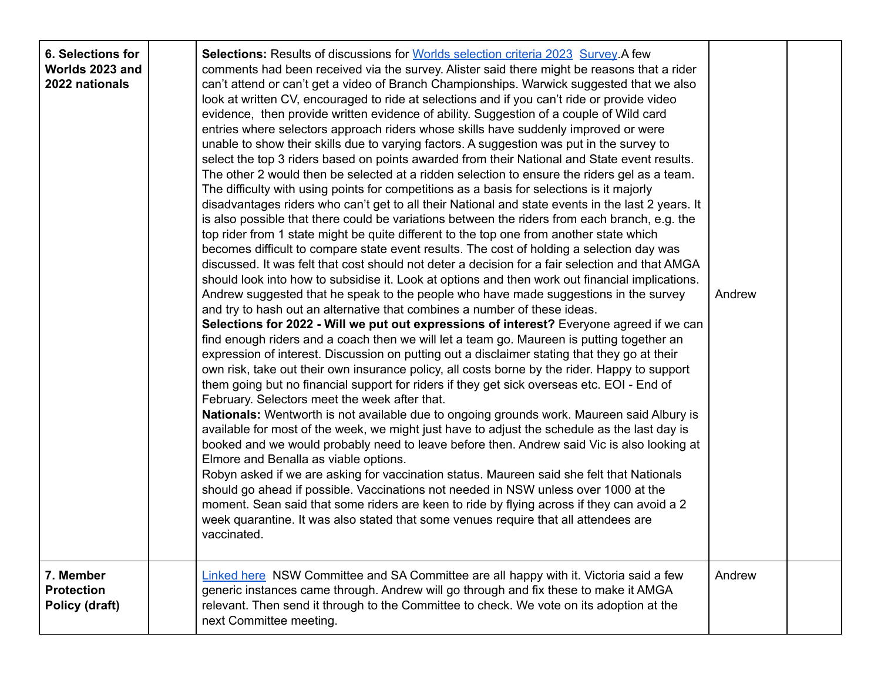| 6. Selections for<br>Worlds 2023 and<br>2022 nationals | <b>Selections: Results of discussions for Worlds selection criteria 2023 Survey A few</b><br>comments had been received via the survey. Alister said there might be reasons that a rider<br>can't attend or can't get a video of Branch Championships. Warwick suggested that we also<br>look at written CV, encouraged to ride at selections and if you can't ride or provide video<br>evidence, then provide written evidence of ability. Suggestion of a couple of Wild card<br>entries where selectors approach riders whose skills have suddenly improved or were<br>unable to show their skills due to varying factors. A suggestion was put in the survey to<br>select the top 3 riders based on points awarded from their National and State event results.<br>The other 2 would then be selected at a ridden selection to ensure the riders gel as a team.<br>The difficulty with using points for competitions as a basis for selections is it majorly<br>disadvantages riders who can't get to all their National and state events in the last 2 years. It<br>is also possible that there could be variations between the riders from each branch, e.g. the<br>top rider from 1 state might be quite different to the top one from another state which<br>becomes difficult to compare state event results. The cost of holding a selection day was<br>discussed. It was felt that cost should not deter a decision for a fair selection and that AMGA<br>should look into how to subsidise it. Look at options and then work out financial implications.<br>Andrew suggested that he speak to the people who have made suggestions in the survey<br>and try to hash out an alternative that combines a number of these ideas.<br>Selections for 2022 - Will we put out expressions of interest? Everyone agreed if we can<br>find enough riders and a coach then we will let a team go. Maureen is putting together an<br>expression of interest. Discussion on putting out a disclaimer stating that they go at their<br>own risk, take out their own insurance policy, all costs borne by the rider. Happy to support<br>them going but no financial support for riders if they get sick overseas etc. EOI - End of<br>February. Selectors meet the week after that.<br>Nationals: Wentworth is not available due to ongoing grounds work. Maureen said Albury is<br>available for most of the week, we might just have to adjust the schedule as the last day is<br>booked and we would probably need to leave before then. Andrew said Vic is also looking at<br>Elmore and Benalla as viable options.<br>Robyn asked if we are asking for vaccination status. Maureen said she felt that Nationals<br>should go ahead if possible. Vaccinations not needed in NSW unless over 1000 at the<br>moment. Sean said that some riders are keen to ride by flying across if they can avoid a 2<br>week quarantine. It was also stated that some venues require that all attendees are<br>vaccinated. | Andrew |  |
|--------------------------------------------------------|----------------------------------------------------------------------------------------------------------------------------------------------------------------------------------------------------------------------------------------------------------------------------------------------------------------------------------------------------------------------------------------------------------------------------------------------------------------------------------------------------------------------------------------------------------------------------------------------------------------------------------------------------------------------------------------------------------------------------------------------------------------------------------------------------------------------------------------------------------------------------------------------------------------------------------------------------------------------------------------------------------------------------------------------------------------------------------------------------------------------------------------------------------------------------------------------------------------------------------------------------------------------------------------------------------------------------------------------------------------------------------------------------------------------------------------------------------------------------------------------------------------------------------------------------------------------------------------------------------------------------------------------------------------------------------------------------------------------------------------------------------------------------------------------------------------------------------------------------------------------------------------------------------------------------------------------------------------------------------------------------------------------------------------------------------------------------------------------------------------------------------------------------------------------------------------------------------------------------------------------------------------------------------------------------------------------------------------------------------------------------------------------------------------------------------------------------------------------------------------------------------------------------------------------------------------------------------------------------------------------------------------------------------------------------------------------------------------------------------------------------------------------------------------------------------------------------------------------------------------------------------------------------------------------------------------------------------------------------------------------------------------|--------|--|
| 7. Member<br><b>Protection</b><br>Policy (draft)       | Linked here NSW Committee and SA Committee are all happy with it. Victoria said a few<br>generic instances came through. Andrew will go through and fix these to make it AMGA<br>relevant. Then send it through to the Committee to check. We vote on its adoption at the<br>next Committee meeting.                                                                                                                                                                                                                                                                                                                                                                                                                                                                                                                                                                                                                                                                                                                                                                                                                                                                                                                                                                                                                                                                                                                                                                                                                                                                                                                                                                                                                                                                                                                                                                                                                                                                                                                                                                                                                                                                                                                                                                                                                                                                                                                                                                                                                                                                                                                                                                                                                                                                                                                                                                                                                                                                                                           | Andrew |  |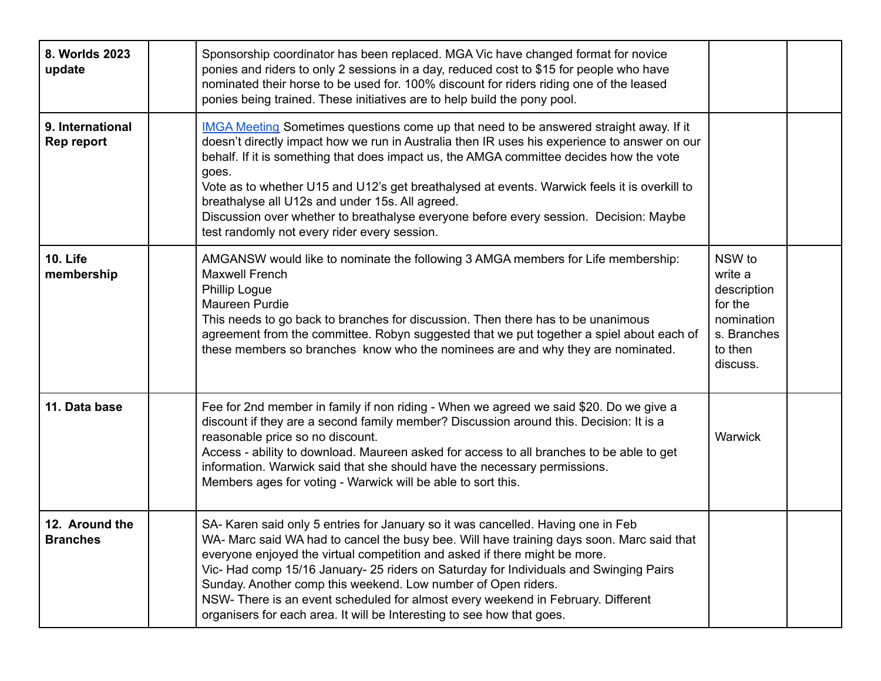| 8. Worlds 2023<br>update          | Sponsorship coordinator has been replaced. MGA Vic have changed format for novice<br>ponies and riders to only 2 sessions in a day, reduced cost to \$15 for people who have<br>nominated their horse to be used for. 100% discount for riders riding one of the leased<br>ponies being trained. These initiatives are to help build the pony pool.                                                                                                                                                                                                                                    |                                                                                                 |  |
|-----------------------------------|----------------------------------------------------------------------------------------------------------------------------------------------------------------------------------------------------------------------------------------------------------------------------------------------------------------------------------------------------------------------------------------------------------------------------------------------------------------------------------------------------------------------------------------------------------------------------------------|-------------------------------------------------------------------------------------------------|--|
| 9. International<br>Rep report    | IMGA Meeting Sometimes questions come up that need to be answered straight away. If it<br>doesn't directly impact how we run in Australia then IR uses his experience to answer on our<br>behalf. If it is something that does impact us, the AMGA committee decides how the vote<br>goes.<br>Vote as to whether U15 and U12's get breathalysed at events. Warwick feels it is overkill to<br>breathalyse all U12s and under 15s. All agreed.<br>Discussion over whether to breathalyse everyone before every session. Decision: Maybe<br>test randomly not every rider every session. |                                                                                                 |  |
| <b>10. Life</b><br>membership     | AMGANSW would like to nominate the following 3 AMGA members for Life membership:<br><b>Maxwell French</b><br><b>Phillip Logue</b><br>Maureen Purdie<br>This needs to go back to branches for discussion. Then there has to be unanimous<br>agreement from the committee. Robyn suggested that we put together a spiel about each of<br>these members so branches know who the nominees are and why they are nominated.                                                                                                                                                                 | NSW to<br>write a<br>description<br>for the<br>nomination<br>s. Branches<br>to then<br>discuss. |  |
| 11. Data base                     | Fee for 2nd member in family if non riding - When we agreed we said \$20. Do we give a<br>discount if they are a second family member? Discussion around this. Decision: It is a<br>reasonable price so no discount.<br>Access - ability to download. Maureen asked for access to all branches to be able to get<br>information. Warwick said that she should have the necessary permissions.<br>Members ages for voting - Warwick will be able to sort this.                                                                                                                          | Warwick                                                                                         |  |
| 12. Around the<br><b>Branches</b> | SA- Karen said only 5 entries for January so it was cancelled. Having one in Feb<br>WA- Marc said WA had to cancel the busy bee. Will have training days soon. Marc said that<br>everyone enjoyed the virtual competition and asked if there might be more.<br>Vic- Had comp 15/16 January- 25 riders on Saturday for Individuals and Swinging Pairs<br>Sunday. Another comp this weekend. Low number of Open riders.<br>NSW- There is an event scheduled for almost every weekend in February. Different<br>organisers for each area. It will be Interesting to see how that goes.    |                                                                                                 |  |